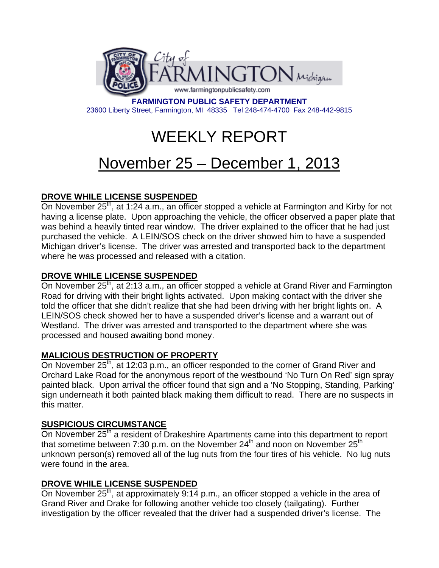

**FARMINGTON PUBLIC SAFETY DEPARTMENT**  23600 Liberty Street, Farmington, MI 48335 Tel 248-474-4700 Fax 248-442-9815

# WEEKLY REPORT

# November 25 – December 1, 2013

# **DROVE WHILE LICENSE SUSPENDED**

On November 25<sup>th</sup>, at 1:24 a.m., an officer stopped a vehicle at Farmington and Kirby for not having a license plate. Upon approaching the vehicle, the officer observed a paper plate that was behind a heavily tinted rear window. The driver explained to the officer that he had just purchased the vehicle. A LEIN/SOS check on the driver showed him to have a suspended Michigan driver's license. The driver was arrested and transported back to the department where he was processed and released with a citation.

# **DROVE WHILE LICENSE SUSPENDED**

On November 25<sup>th</sup>, at 2:13 a.m., an officer stopped a vehicle at Grand River and Farmington Road for driving with their bright lights activated. Upon making contact with the driver she told the officer that she didn't realize that she had been driving with her bright lights on. A LEIN/SOS check showed her to have a suspended driver's license and a warrant out of Westland. The driver was arrested and transported to the department where she was processed and housed awaiting bond money.

# **MALICIOUS DESTRUCTION OF PROPERTY**

On November  $25<sup>th</sup>$ , at 12:03 p.m., an officer responded to the corner of Grand River and Orchard Lake Road for the anonymous report of the westbound 'No Turn On Red' sign spray painted black. Upon arrival the officer found that sign and a 'No Stopping, Standing, Parking' sign underneath it both painted black making them difficult to read. There are no suspects in this matter.

#### **SUSPICIOUS CIRCUMSTANCE**

On November 25<sup>th</sup> a resident of Drakeshire Apartments came into this department to report that sometime between 7:30 p.m. on the November  $24<sup>th</sup>$  and noon on November  $25<sup>th</sup>$ unknown person(s) removed all of the lug nuts from the four tires of his vehicle. No lug nuts were found in the area.

#### **DROVE WHILE LICENSE SUSPENDED**

On November  $25<sup>th</sup>$ , at approximately 9:14 p.m., an officer stopped a vehicle in the area of Grand River and Drake for following another vehicle too closely (tailgating). Further investigation by the officer revealed that the driver had a suspended driver's license. The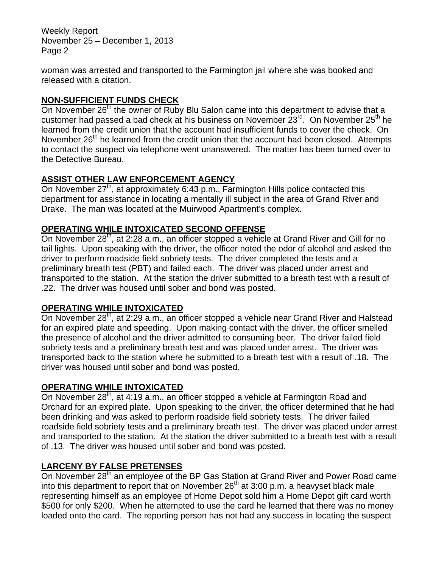Weekly Report November 25 – December 1, 2013 Page 2

woman was arrested and transported to the Farmington jail where she was booked and released with a citation.

# **NON-SUFFICIENT FUNDS CHECK**

On November 26<sup>th</sup> the owner of Ruby Blu Salon came into this department to advise that a customer had passed a bad check at his business on November  $23^{\text{rd}}$ . On November  $25^{\text{th}}$  he learned from the credit union that the account had insufficient funds to cover the check. On November 26<sup>th</sup> he learned from the credit union that the account had been closed. Attempts to contact the suspect via telephone went unanswered. The matter has been turned over to the Detective Bureau.

# **ASSIST OTHER LAW ENFORCEMENT AGENCY**

On November 27<sup>th</sup>, at approximately 6:43 p.m., Farmington Hills police contacted this department for assistance in locating a mentally ill subject in the area of Grand River and Drake. The man was located at the Muirwood Apartment's complex.

#### **OPERATING WHILE INTOXICATED SECOND OFFENSE**

On November 28<sup>th</sup>, at 2:28 a.m., an officer stopped a vehicle at Grand River and Gill for no tail lights. Upon speaking with the driver, the officer noted the odor of alcohol and asked the driver to perform roadside field sobriety tests. The driver completed the tests and a preliminary breath test (PBT) and failed each. The driver was placed under arrest and transported to the station. At the station the driver submitted to a breath test with a result of .22. The driver was housed until sober and bond was posted.

#### **OPERATING WHILE INTOXICATED**

On November 28<sup>th</sup>, at 2:29 a.m., an officer stopped a vehicle near Grand River and Halstead for an expired plate and speeding. Upon making contact with the driver, the officer smelled the presence of alcohol and the driver admitted to consuming beer. The driver failed field sobriety tests and a preliminary breath test and was placed under arrest. The driver was transported back to the station where he submitted to a breath test with a result of .18. The driver was housed until sober and bond was posted.

#### **OPERATING WHILE INTOXICATED**

On November 28<sup>th</sup>, at 4:19 a.m., an officer stopped a vehicle at Farmington Road and Orchard for an expired plate. Upon speaking to the driver, the officer determined that he had been drinking and was asked to perform roadside field sobriety tests. The driver failed roadside field sobriety tests and a preliminary breath test. The driver was placed under arrest and transported to the station. At the station the driver submitted to a breath test with a result of .13. The driver was housed until sober and bond was posted.

# **LARCENY BY FALSE PRETENSES**

On November 28<sup>th</sup> an employee of the BP Gas Station at Grand River and Power Road came into this department to report that on November  $26<sup>th</sup>$  at 3:00 p.m. a heavyset black male representing himself as an employee of Home Depot sold him a Home Depot gift card worth \$500 for only \$200. When he attempted to use the card he learned that there was no money loaded onto the card. The reporting person has not had any success in locating the suspect